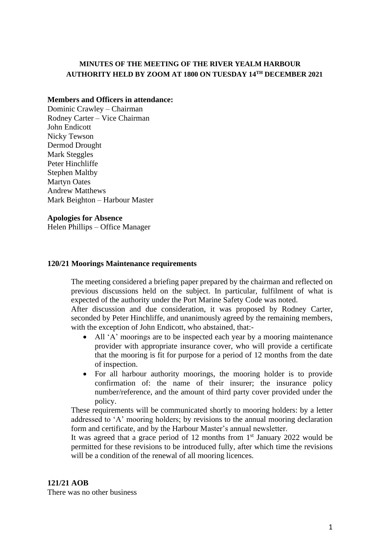## **MINUTES OF THE MEETING OF THE RIVER YEALM HARBOUR AUTHORITY HELD BY ZOOM AT 1800 ON TUESDAY 14TH DECEMBER 2021**

### **Members and Officers in attendance:**

Dominic Crawley – Chairman Rodney Carter – Vice Chairman John Endicott Nicky Tewson Dermod Drought Mark Steggles Peter Hinchliffe Stephen Maltby Martyn Oates Andrew Matthews Mark Beighton – Harbour Master

#### **Apologies for Absence**

Helen Phillips – Office Manager

#### **120/21 Moorings Maintenance requirements**

The meeting considered a briefing paper prepared by the chairman and reflected on previous discussions held on the subject. In particular, fulfilment of what is expected of the authority under the Port Marine Safety Code was noted.

After discussion and due consideration, it was proposed by Rodney Carter, seconded by Peter Hinchliffe, and unanimously agreed by the remaining members, with the exception of John Endicott, who abstained, that:-

- All 'A' moorings are to be inspected each year by a mooring maintenance provider with appropriate insurance cover, who will provide a certificate that the mooring is fit for purpose for a period of 12 months from the date of inspection.
- For all harbour authority moorings, the mooring holder is to provide confirmation of: the name of their insurer; the insurance policy number/reference, and the amount of third party cover provided under the policy.

These requirements will be communicated shortly to mooring holders: by a letter addressed to 'A' mooring holders; by revisions to the annual mooring declaration form and certificate, and by the Harbour Master's annual newsletter.

It was agreed that a grace period of 12 months from  $1<sup>st</sup>$  January 2022 would be permitted for these revisions to be introduced fully, after which time the revisions will be a condition of the renewal of all mooring licences.

There was no other business